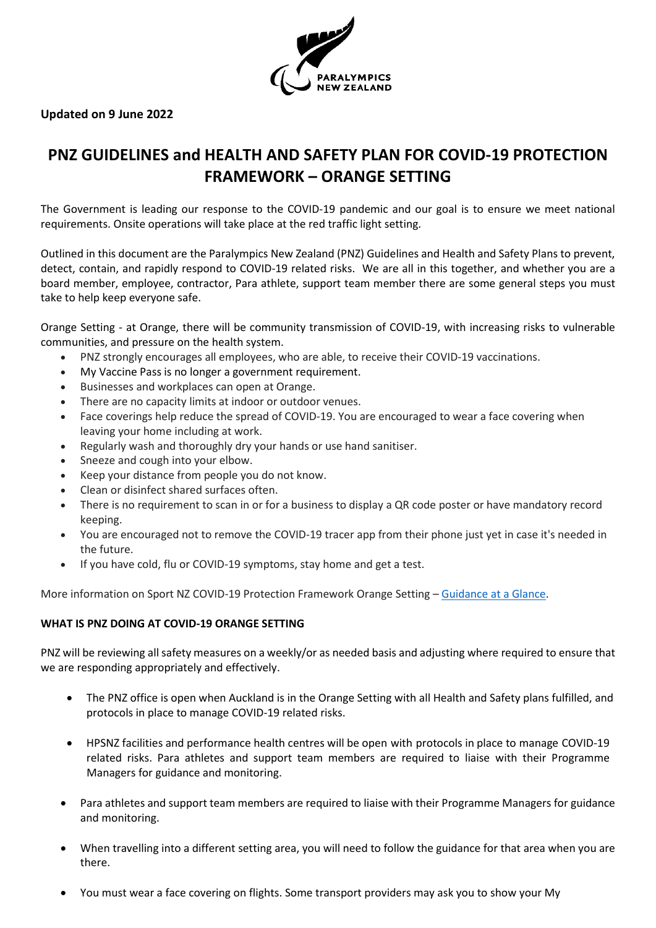

# **Updated on 9 June 2022**

# **PNZ GUIDELINES and HEALTH AND SAFETY PLAN FOR COVID-19 PROTECTION FRAMEWORK – ORANGE SETTING**

The Government is leading our response to the COVID-19 pandemic and our goal is to ensure we meet national requirements. Onsite operations will take place at the red traffic light setting.

Outlined in this document are the Paralympics New Zealand (PNZ) Guidelines and Health and Safety Plans to prevent, detect, contain, and rapidly respond to COVID-19 related risks. We are all in this together, and whether you are a board member, employee, contractor, Para athlete, support team member there are some general steps you must take to help keep everyone safe.

Orange Setting - at Orange, there will be community transmission of COVID-19, with increasing risks to vulnerable communities, and pressure on the health system.

- PNZ strongly encourages all employees, who are able, to receive their COVID-19 vaccinations.
- My Vaccine Pass is no longer a government requirement.
- Businesses and workplaces can open at Orange.
- There are no capacity limits at indoor or outdoor venues.
- Face coverings help reduce the spread of COVID-19. You are encouraged to wear a face covering when leaving your home including at work.
- Regularly wash and thoroughly dry your hands or use hand sanitiser.
- Sneeze and cough into your elbow.
- Keep your distance from people you do not know.
- Clean or disinfect shared surfaces often.
- There is no requirement to scan in or for a business to display a QR code poster or have mandatory record keeping.
- You are encouraged not to remove the COVID-19 tracer app from their phone just yet in case it's needed in the future.
- If you have cold, flu or COVID-19 symptoms, stay home and get a test.

More information on Sport NZ COVID-19 Protection Framework Orange Setting - [Guidance at a Glance.](https://sportnz.org.nz/covid-19-response/covid-19-protection-framework/)

#### **WHAT IS PNZ DOING AT COVID-19 ORANGE SETTING**

PNZ will be reviewing all safety measures on a weekly/or as needed basis and adjusting where required to ensure that we are responding appropriately and effectively.

- The PNZ office is open when Auckland is in the Orange Setting with all Health and Safety plans fulfilled, and protocols in place to manage COVID-19 related risks.
- HPSNZ facilities and performance health centres will be open with protocols in place to manage COVID-19 related risks. Para athletes and support team members are required to liaise with their Programme Managers for guidance and monitoring.
- Para athletes and support team members are required to liaise with their Programme Managers for guidance and monitoring.
- When travelling into a different setting area, you will need to follow the guidance for that area when you are there.
- You must wear a face covering on flights. Some transport providers may ask you to show your My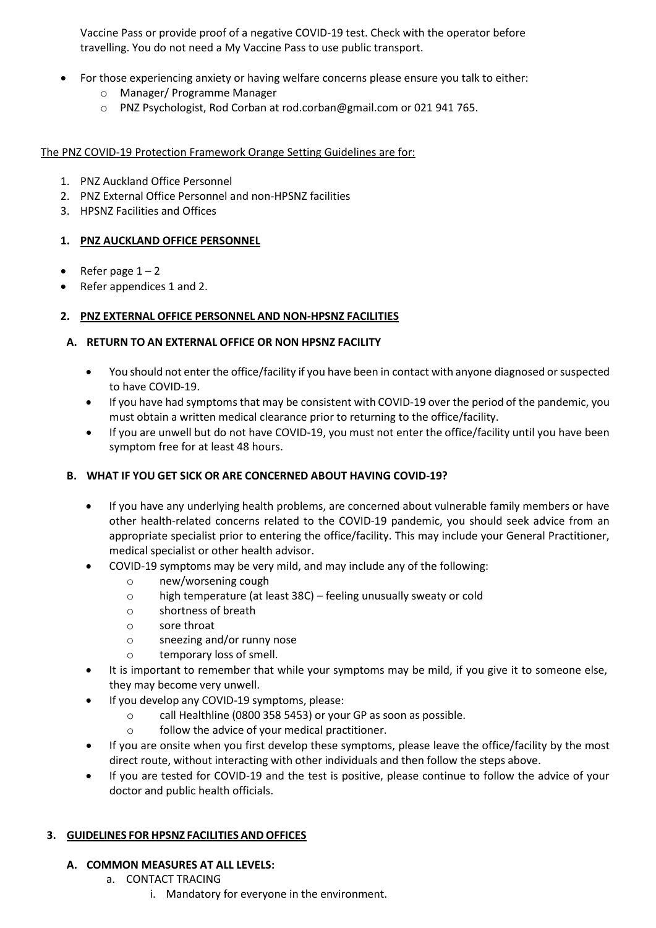Vaccine Pass or provide proof of a negative COVID-19 test. Check with the operator before travelling. You do not need a My Vaccine Pass to use public transport.

- For those experiencing anxiety or having welfare concerns please ensure you talk to either:
	- o Manager/ Programme Manager
	- o PNZ Psychologist, Rod Corban at rod.corban@gmail.com or 021 941 765.

The PNZ COVID-19 Protection Framework Orange Setting Guidelines are for:

- 1. PNZ Auckland Office Personnel
- 2. PNZ External Office Personnel and non-HPSNZ facilities
- 3. HPSNZ Facilities and Offices

# **1. PNZ AUCKLAND OFFICE PERSONNEL**

- Refer page  $1 2$
- Refer appendices 1 and 2.

# **2. PNZ EXTERNAL OFFICE PERSONNEL AND NON-HPSNZ FACILITIES**

# **A. RETURN TO AN EXTERNAL OFFICE OR NON HPSNZ FACILITY**

- You should not enter the office/facility if you have been in contact with anyone diagnosed or suspected to have COVID-19.
- If you have had symptoms that may be consistent with COVID-19 over the period of the pandemic, you must obtain a written medical clearance prior to returning to the office/facility.
- If you are unwell but do not have COVID-19, you must not enter the office/facility until you have been symptom free for at least 48 hours.

#### **B. WHAT IF YOU GET SICK OR ARE CONCERNED ABOUT HAVING COVID-19?**

- If you have any underlying health problems, are concerned about vulnerable family members or have other health-related concerns related to the COVID-19 pandemic, you should seek advice from an appropriate specialist prior to entering the office/facility. This may include your General Practitioner, medical specialist or other health advisor.
- COVID-19 symptoms may be very mild, and may include any of the following:
	- o new/worsening cough
	- o high temperature (at least 38C) feeling unusually sweaty or cold
	- o shortness of breath
	- o sore throat
	- o sneezing and/or runny nose
	- o temporary loss of smell.
- It is important to remember that while your symptoms may be mild, if you give it to someone else, they may become very unwell.
- If you develop any COVID-19 symptoms, please:
	- o call Healthline (0800 358 5453) or your GP as soon as possible.
	- o follow the advice of your medical practitioner.
- If you are onsite when you first develop these symptoms, please leave the office/facility by the most direct route, without interacting with other individuals and then follow the steps above.
- If you are tested for COVID-19 and the test is positive, please continue to follow the advice of your doctor and public health officials.

#### **3. GUIDELINES FOR HPSNZ FACILITIES AND OFFICES**

#### **A. COMMON MEASURES AT ALL LEVELS:**

- a. CONTACT TRACING
	- i. Mandatory for everyone in the environment.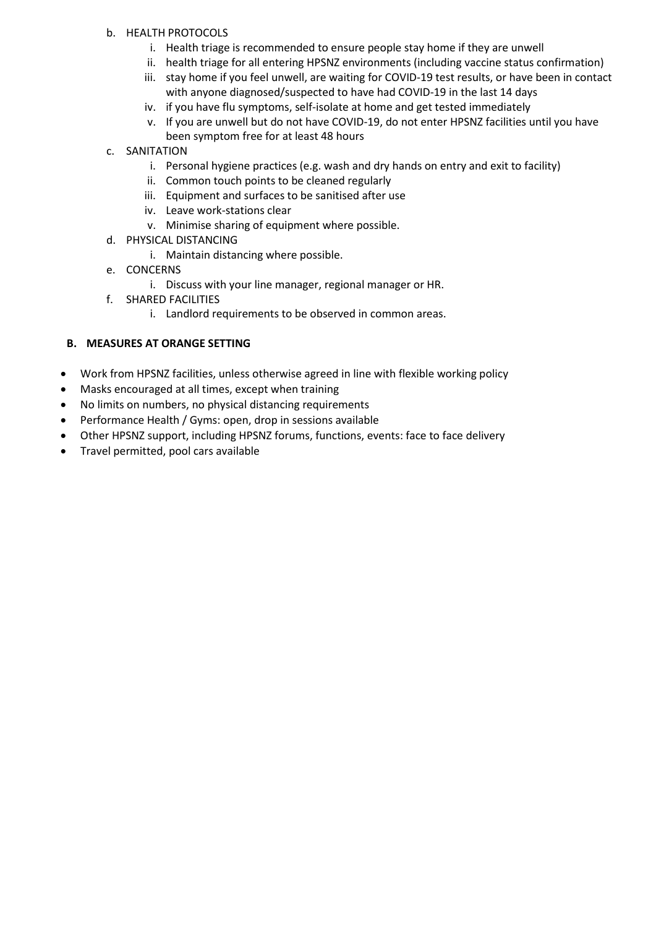# b. HEALTH PROTOCOLS

- i. Health triage is recommended to ensure people stay home if they are unwell
- ii. health triage for all entering HPSNZ environments (including vaccine status confirmation)
- iii. stay home if you feel unwell, are waiting for COVID-19 test results, or have been in contact with anyone diagnosed/suspected to have had COVID-19 in the last 14 days
- iv. if you have flu symptoms, self-isolate at home and get tested immediately
- v. If you are unwell but do not have COVID-19, do not enter HPSNZ facilities until you have been symptom free for at least 48 hours
- c. SANITATION
	- i. Personal hygiene practices (e.g. wash and dry hands on entry and exit to facility)
	- ii. Common touch points to be cleaned regularly
	- iii. Equipment and surfaces to be sanitised after use
	- iv. Leave work-stations clear
	- v. Minimise sharing of equipment where possible.
- d. PHYSICAL DISTANCING
	- i. Maintain distancing where possible.
- e. CONCERNS
	- i. Discuss with your line manager, regional manager or HR.
- f. SHARED FACILITIES
	- i. Landlord requirements to be observed in common areas.

# **B. MEASURES AT ORANGE SETTING**

- Work from HPSNZ facilities, unless otherwise agreed in line with flexible working policy
- Masks encouraged at all times, except when training
- No limits on numbers, no physical distancing requirements
- Performance Health / Gyms: open, drop in sessions available
- Other HPSNZ support, including HPSNZ forums, functions, events: face to face delivery
- Travel permitted, pool cars available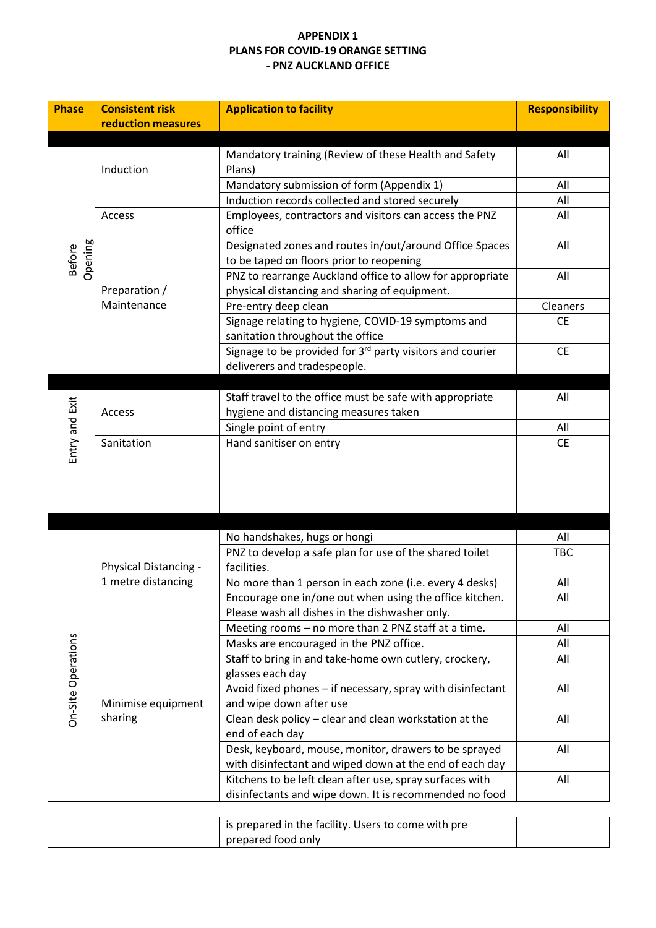# **APPENDIX 1 PLANS FOR COVID-19 ORANGE SETTING - PNZ AUCKLAND OFFICE**

| <b>Phase</b>             | <b>Consistent risk</b><br><b>reduction measures</b> | <b>Application to facility</b>                                                                                     | <b>Responsibility</b> |
|--------------------------|-----------------------------------------------------|--------------------------------------------------------------------------------------------------------------------|-----------------------|
|                          |                                                     |                                                                                                                    |                       |
|                          | Induction                                           | Mandatory training (Review of these Health and Safety<br>Plans)                                                    | All                   |
|                          |                                                     | Mandatory submission of form (Appendix 1)                                                                          | All                   |
| Opening<br><b>Before</b> |                                                     | Induction records collected and stored securely                                                                    | All                   |
|                          | Access                                              | Employees, contractors and visitors can access the PNZ<br>office                                                   | All                   |
|                          | Preparation /<br>Maintenance                        | Designated zones and routes in/out/around Office Spaces<br>to be taped on floors prior to reopening                | All                   |
|                          |                                                     | PNZ to rearrange Auckland office to allow for appropriate<br>physical distancing and sharing of equipment.         | All                   |
|                          |                                                     | Pre-entry deep clean                                                                                               | Cleaners              |
|                          |                                                     | Signage relating to hygiene, COVID-19 symptoms and<br>sanitation throughout the office                             | <b>CE</b>             |
|                          |                                                     | Signage to be provided for 3rd party visitors and courier<br>deliverers and tradespeople.                          | <b>CE</b>             |
|                          |                                                     |                                                                                                                    |                       |
| Entry and Exit           | Access                                              | Staff travel to the office must be safe with appropriate<br>hygiene and distancing measures taken                  | All                   |
|                          |                                                     | Single point of entry                                                                                              | All                   |
|                          | Sanitation                                          | Hand sanitiser on entry                                                                                            | <b>CE</b>             |
|                          |                                                     |                                                                                                                    |                       |
|                          | Physical Distancing -<br>1 metre distancing         | No handshakes, hugs or hongi                                                                                       | All                   |
|                          |                                                     | PNZ to develop a safe plan for use of the shared toilet<br>facilities.                                             | <b>TBC</b>            |
|                          |                                                     | No more than 1 person in each zone (i.e. every 4 desks)                                                            | All                   |
|                          |                                                     | Encourage one in/one out when using the office kitchen.<br>Please wash all dishes in the dishwasher only.          | All                   |
|                          |                                                     | Meeting rooms - no more than 2 PNZ staff at a time.                                                                | All                   |
|                          |                                                     | Masks are encouraged in the PNZ office.                                                                            | All                   |
|                          | Minimise equipment<br>sharing                       | Staff to bring in and take-home own cutlery, crockery,<br>glasses each day                                         | All                   |
| On-Site Operations       |                                                     | Avoid fixed phones - if necessary, spray with disinfectant<br>and wipe down after use                              | All                   |
|                          |                                                     | Clean desk policy - clear and clean workstation at the<br>end of each day                                          | All                   |
|                          |                                                     | Desk, keyboard, mouse, monitor, drawers to be sprayed<br>with disinfectant and wiped down at the end of each day   | All                   |
|                          |                                                     | Kitchens to be left clean after use, spray surfaces with<br>disinfectants and wipe down. It is recommended no food | All                   |
|                          |                                                     |                                                                                                                    |                       |

|  | is prepared in the facility. Users to come with pre |  |
|--|-----------------------------------------------------|--|
|  | prepared food only                                  |  |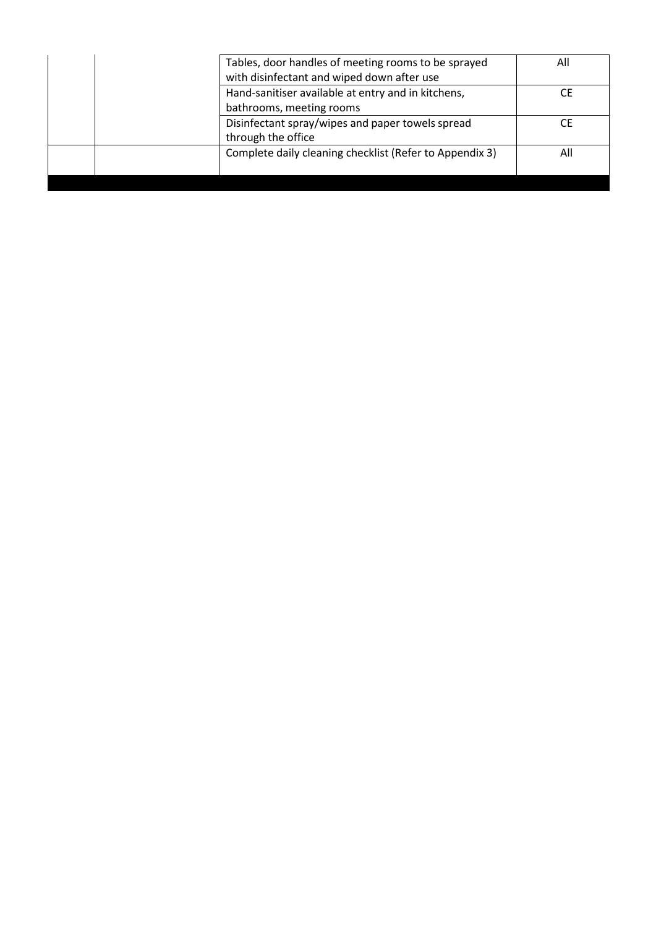| with disinfectant and wiped down after use | Tables, door handles of meeting rooms to be sprayed     | All |
|--------------------------------------------|---------------------------------------------------------|-----|
|                                            | Hand-sanitiser available at entry and in kitchens,      |     |
| bathrooms, meeting rooms                   |                                                         |     |
| through the office                         | Disinfectant spray/wipes and paper towels spread        |     |
|                                            | Complete daily cleaning checklist (Refer to Appendix 3) | All |
|                                            |                                                         |     |